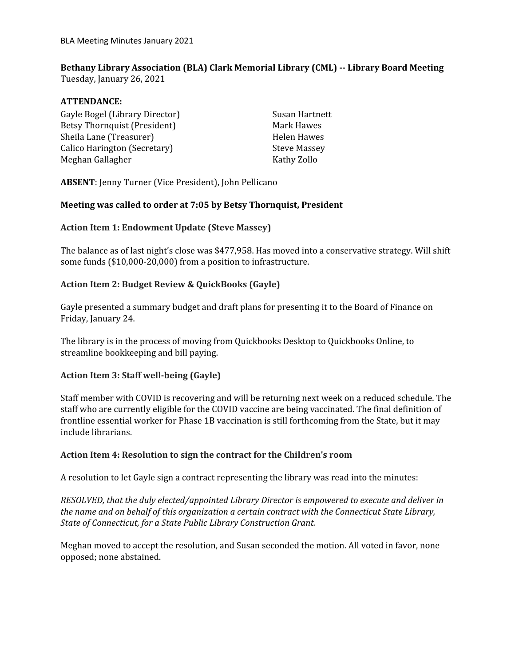# **Bethany Library Association (BLA) Clark Memorial Library (CML) -- Library Board Meeting**

Tuesday, January 26, 2021

## **ATTENDANCE:**

Gayle Bogel (Library Director) Betsy Thornquist (President) Sheila Lane (Treasurer) Calico Harington (Secretary) Meghan Gallagher

Susan Hartnett Mark Hawes Helen Hawes Steve Massey Kathy Zollo

**ABSENT**: Jenny Turner (Vice President), John Pellicano

# **Meeting was called to order at 7:05 by Betsy Thornquist, President**

### **Action Item 1: Endowment Update (Steve Massey)**

The balance as of last night's close was \$477,958. Has moved into a conservative strategy. Will shift some funds (\$10,000-20,000) from a position to infrastructure.

# **Action Item 2: Budget Review & QuickBooks (Gayle)**

Gayle presented a summary budget and draft plans for presenting it to the Board of Finance on Friday, January 24.

The library is in the process of moving from Quickbooks Desktop to Quickbooks Online, to streamline bookkeeping and bill paying.

### **Action Item 3: Staff well-being (Gayle)**

Staff member with COVID is recovering and will be returning next week on a reduced schedule. The staff who are currently eligible for the COVID vaccine are being vaccinated. The final definition of frontline essential worker for Phase 1B vaccination is still forthcoming from the State, but it may include librarians.

### **Action Item 4: Resolution to sign the contract for the Children's room**

A resolution to let Gayle sign a contract representing the library was read into the minutes:

*RESOLVED, that the duly elected/appointed Library Director is empowered to execute and deliver in the name and on behalf of this organization a certain contract with the Connecticut State Library, State of Connecticut, for a State Public Library Construction Grant.*

Meghan moved to accept the resolution, and Susan seconded the motion. All voted in favor, none opposed; none abstained.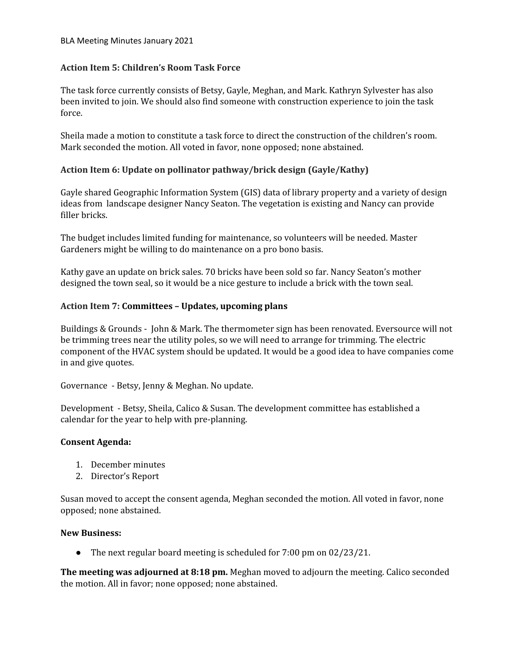#### BLA Meeting Minutes January 2021

# **Action Item 5: Children's Room Task Force**

The task force currently consists of Betsy, Gayle, Meghan, and Mark. Kathryn Sylvester has also been invited to join. We should also find someone with construction experience to join the task force.

Sheila made a motion to constitute a task force to direct the construction of the children's room. Mark seconded the motion. All voted in favor, none opposed; none abstained.

# **Action Item 6: Update on pollinator pathway/brick design (Gayle/Kathy)**

Gayle shared Geographic Information System (GIS) data of library property and a variety of design ideas from landscape designer Nancy Seaton. The vegetation is existing and Nancy can provide filler bricks.

The budget includes limited funding for maintenance, so volunteers will be needed. Master Gardeners might be willing to do maintenance on a pro bono basis.

Kathy gave an update on brick sales. 70 bricks have been sold so far. Nancy Seaton's mother designed the town seal, so it would be a nice gesture to include a brick with the town seal.

# **Action Item 7: Committees – Updates, upcoming plans**

Buildings & Grounds - John & Mark. The thermometer sign has been renovated. Eversource will not be trimming trees near the utility poles, so we will need to arrange for trimming. The electric component of the HVAC system should be updated. It would be a good idea to have companies come in and give quotes.

Governance - Betsy, Jenny & Meghan. No update.

Development - Betsy, Sheila, Calico & Susan. The development committee has established a calendar for the year to help with pre-planning.

### **Consent Agenda:**

- 1. December minutes
- 2. Director's Report

Susan moved to accept the consent agenda, Meghan seconded the motion. All voted in favor, none opposed; none abstained.

### **New Business:**

● The next regular board meeting is scheduled for 7:00 pm on 02/23/21.

**The meeting was adjourned at 8:18 pm.** Meghan moved to adjourn the meeting. Calico seconded the motion. All in favor; none opposed; none abstained.